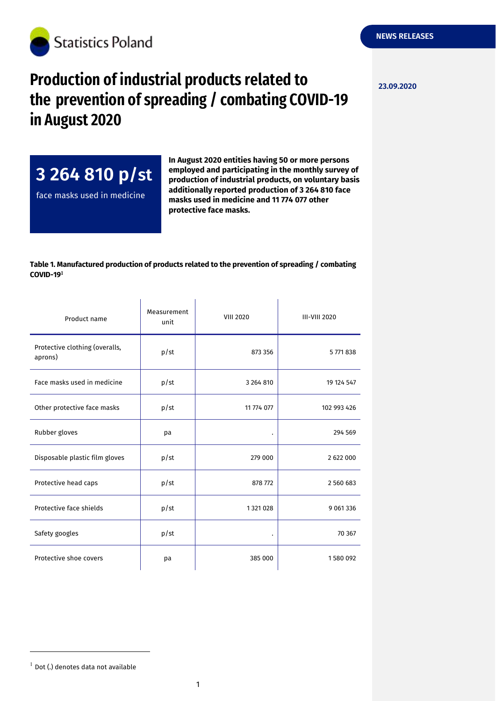

## **Production of industrial products related to**  $\frac{23.09.2020}{23.09.2020}$ **the prevention of spreading / combating COVID-19 in August 2020**

**3 264 810 p/st**

face masks used in medicine

**In August 2020 entities having 50 or more persons employed and participating in the monthly survey of production of industrial products, on voluntary basis additionally reported production of 3 264 810 face masks used in medicine and 11 774 077 other protective face masks.**

 $\mathbf{r}$ 

## **Table 1. Manufactured production of products related to the prevention of spreading / combating COVID-19**

 $\sim 10$ 

 $\overline{1}$ 

| Product name                              | Measurement<br>unit | <b>VIII 2020</b>     | <b>III-VIII 2020</b> |
|-------------------------------------------|---------------------|----------------------|----------------------|
| Protective clothing (overalls,<br>aprons) | p/st                | 873 356              | 5771838              |
| Face masks used in medicine               | p/st                | 3 264 810            | 19 124 547           |
| Other protective face masks               | p/st                | 11 774 077           | 102 993 426          |
| Rubber gloves                             | pa                  | $\ddot{\phantom{0}}$ | 294 569              |
| Disposable plastic film gloves            | p/st                | 279 000              | 2 622 000            |
| Protective head caps                      | p/st                | 878 772              | 2 560 683            |
| Protective face shields                   | p/st                | 1 321 028            | 9 0 61 3 3 6         |
| Safety googles                            | p/st                | ٠                    | 70 367               |
| Protective shoe covers                    | pa                  | 385 000              | 1580 092             |

-

 $1$  Dot (.) denotes data not available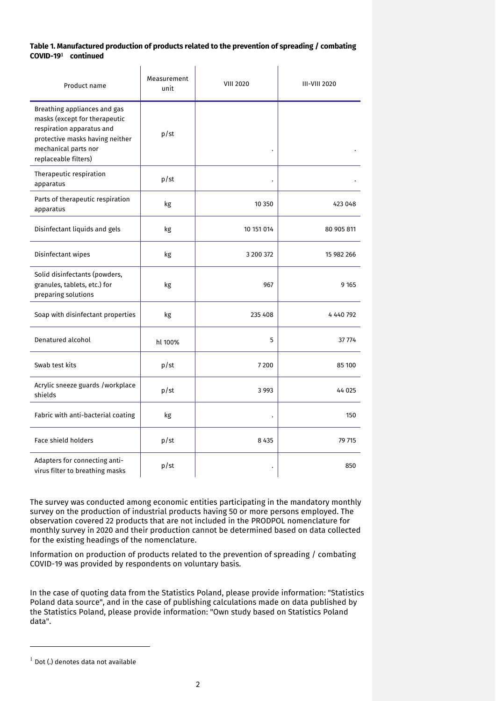## **Table 1. Manufactured production of products related to the prevention of spreading / combating COVID-19 continued**

| Product name                                                                                                                                                                  | Measurement<br>unit | <b>VIII 2020</b> | <b>III-VIII 2020</b> |
|-------------------------------------------------------------------------------------------------------------------------------------------------------------------------------|---------------------|------------------|----------------------|
| Breathing appliances and gas<br>masks (except for therapeutic<br>respiration apparatus and<br>protective masks having neither<br>mechanical parts nor<br>replaceable filters) | p/st                |                  |                      |
| Therapeutic respiration<br>apparatus                                                                                                                                          | p/st                |                  |                      |
| Parts of therapeutic respiration<br>apparatus                                                                                                                                 | kg                  | 10 350           | 423 048              |
| Disinfectant liquids and gels                                                                                                                                                 | kg                  | 10 151 014       | 80 905 811           |
| Disinfectant wipes                                                                                                                                                            | kg                  | 3 200 372        | 15 982 266           |
| Solid disinfectants (powders,<br>granules, tablets, etc.) for<br>preparing solutions                                                                                          | kg                  | 967              | 9 1 6 5              |
| Soap with disinfectant properties                                                                                                                                             | kg                  | 235 408          | 4 440 792            |
| Denatured alcohol                                                                                                                                                             | hl 100%             | 5                | 37 774               |
| Swab test kits                                                                                                                                                                | p/st                | 7 2 0 0          | 85 100               |
| Acrylic sneeze guards /workplace<br>shields                                                                                                                                   | p/st                | 3 9 9 3          | 44 025               |
| Fabric with anti-bacterial coating                                                                                                                                            | kg                  |                  | 150                  |
| <b>Face shield holders</b>                                                                                                                                                    | p/st                | 8 4 3 5          | 79 715               |
| Adapters for connecting anti-<br>virus filter to breathing masks                                                                                                              | p/st                |                  | 850                  |

The survey was conducted among economic entities participating in the mandatory monthly survey on the production of industrial products having 50 or more persons employed. The observation covered 22 products that are not included in the PRODPOL nomenclature for monthly survey in 2020 and their production cannot be determined based on data collected for the existing headings of the nomenclature.

Information on production of products related to the prevention of spreading / combating COVID-19 was provided by respondents on voluntary basis.

In the case of quoting data from the Statistics Poland, please provide information: "Statistics Poland data source", and in the case of publishing calculations made on data published by the Statistics Poland, please provide information: "Own study based on Statistics Poland data".

-

 $^{-1}$  Dot (.) denotes data not available